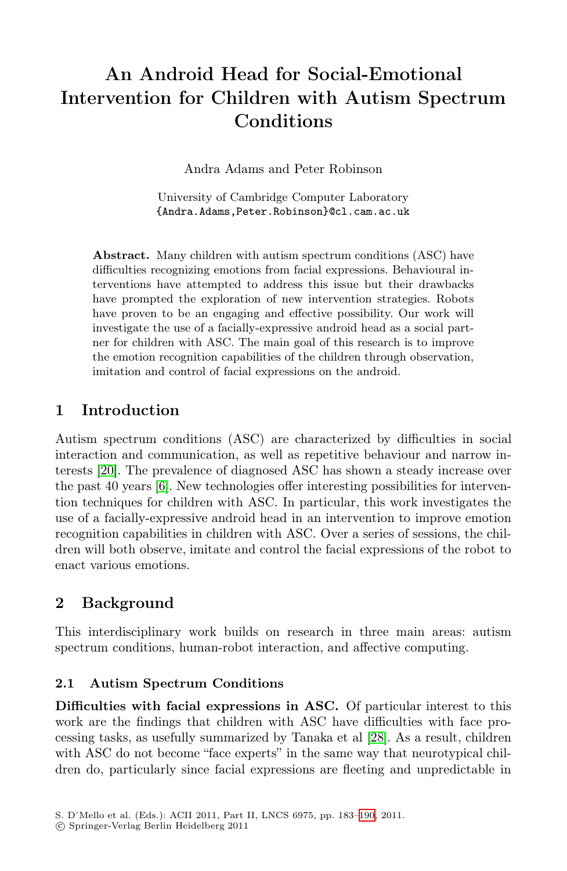# An Android Head for Social-Emotional Intervention for Children with Autism Spectrum Conditions

Andra Adams and Peter Robinson

University of Cambridge Computer Laboratory {Andra.Adams,Peter.Robinson}@cl.cam.ac.uk

Abstract. Many children with autism spectrum conditions (ASC) have difficulties recognizing emotions from facial expressions. Behavioural interventions have attempted to address this issue but their drawbacks have prompted the exploration of new intervention strategies. Robots have proven to be an engaging and effective possibility. Our work will investigate the use of a facially-expressive android head as a social partner for children with ASC. The main goal of this research is to improve the emotion recognition capabilities of the children through observation, imitation and control of facial expressions on the android.

# 1 Introduction

Autism spectrum conditions (ASC) are characterized by difficulties in social interaction and communication, as well as repetitive behaviour and narrow interests [20]. The prevalence of diagnosed ASC has shown a steady increase over the past 40 years [6]. New technologies offer interesting possibilities for intervention techniques for children with ASC. In particular, this work investigates the use of a facially-expressive android head in an intervention to improve emotion recognition capabilities in children with ASC. Over a series of sessions, the children will both observe, imitate and control the facial expressions of the robot to enact various emotions.

## 2 Background

This interdisciplinary work builds on research in three main areas: autism spectrum conditions, human-robot interaction, and affective computing.

### 2.1 Autism Spectrum Cond[itio](#page-7-0)ns

Difficulties with facial expressions in ASC. Of particular interest to this work are the findings that children with ASC have difficulties with face processing tasks, as usefully summarized by Tanaka et al [28]. As a result, children with ASC do not become "face experts" in the same way that neurotypical children do, particularly since facial expressions are fleeting and unpredictable in

S. D´Mello et al. (Eds.): ACII 2011, Part II, LNCS 6975, pp. 183–190, 2011.

<sup>-</sup>c Springer-Verlag Berlin Heidelberg 2011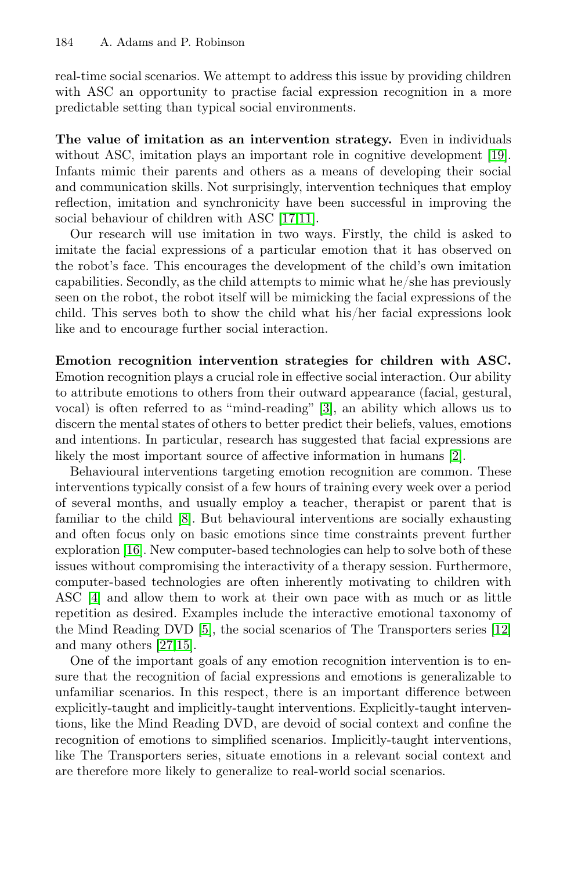#### 184 A. Adams and P. Robinson

real-time social scenarios. We attempt to address this issue by providing children with ASC an oppo[rtu](#page-7-1)[nity](#page-6-0) to practise facial expression recognition in a more predictable setting than typical social environments.

The value of imitation as an intervention strategy. Even in individuals without ASC, imitation plays an important role in cognitive development [19]. Infants mimic their parents and others as a means of developing their social and communication skills. Not surprisingly, intervention techniques that employ reflection, imitation and synchronicity have been successful in improving the social behaviour of children with ASC [17,11].

Our research will use imitation in two ways. Firstly, the child is asked to imitate the facial expressions of a particular emotion that it has observed on the robot's face. This encourages the development of the child's own imitation capabilities. Secondly, as th[e c](#page-6-1)hild attempts to mimic what he/she has previously seen on the robot, the robot itself will be mimicking the facial expressions of the child. This serves both to show the child what his/her facial expressions look like and to encourage further social interaction.

Emotion recognition intervention strategies for children with ASC. Emotion recognition plays a crucial role in effective social interaction. Our ability to [at](#page-6-2)tribute emotions to others from their outward appearance (facial, gestural, vocal) is often referred to as "mind-reading" [3], an ability which allows us to discern the mental states of others to better predict their beliefs, values, emotions and intentions. In particular, research has suggested that facial expressions are likely the most important source of affective information in humans [2].

Behavioural interventions targeting emotion recognition are common. These interventions typically consist of a few hours of training every week over a period of sev[era](#page-6-3)l months, and usually employ a teacher, thera[pist](#page-6-4) or parent that is [fa](#page-7-2)[mil](#page-7-3)iar to the child [8]. But behavioural interventions are socially exhausting and often focus only on basic emotions since time constraints prevent further exploration [16]. New computer-based technologies can help to solve both of these issues without compromising the interactivity of a therapy session. Furthermore, computer-based technologies are often inherently motivating to children with ASC [4] and allow them to work at their own pace with as much or as little repetition as desired. Examples include the interactive emotional taxonomy of the Mind Reading DVD [5], the social scenarios of The Transporters series [12] and many others [27,15].

One of the important goals of any emotion recognition intervention is to ensure that the recognition of facial expressions and emotions is generalizable to unfamiliar scenarios. In this respect, there is an important difference between explicitly-taught and implicitly-taught interventions. Explicitly-taught interventions, like the Mind Reading DVD, are devoid of social context and confine the recognition of emotions to simplified scenarios. Implicitly-taught interventions, like The Transporters series, situate emotions in a relevant social context and are therefore more likely to generalize to real-world social scenarios.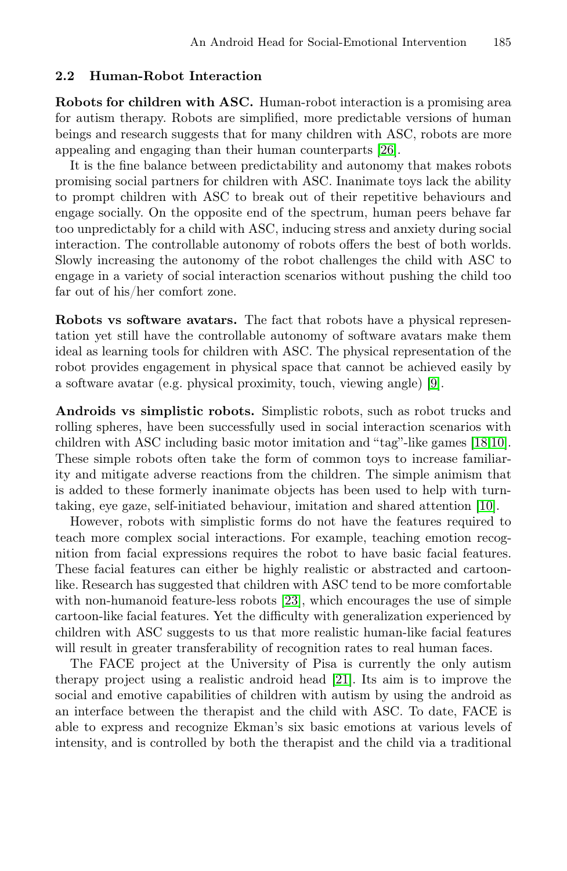### 2.2 Human-Robot Interaction

Robots for children with ASC. Human-robot interaction is a promising area for autism therapy. Robots are simplified, more predictable versions of human beings and research suggests that for many children with ASC, robots are more appealing and engaging than their human counterparts [26].

It is the fine balance between predictability and autonomy that makes robots promising social partners for children with ASC. Inanimate toys lack the ability to prompt children with ASC to break out of their repetitive behaviours and engage socially. On the opposite end of the spectrum, human peers behave far too unpredictably for a child with ASC, inducing stress and anxiety during social interaction. The controllable autonomy of robots offers the best of both worlds. Slowly increasing the autonomy of the robot [ch](#page-6-5)allenges the child with ASC to engage in a variety of social interaction scenarios without pushing the child too far out of his/her comfort zone.

Robots vs software avatars. The fact that robots [ha](#page-7-4)[ve](#page-6-6) a physical representation yet still have the controllable autonomy of software avatars make them ideal as learning tools for children with ASC. The physical representation of the robot provides engagement in physical space that cannot be achieved easily by a software avatar (e.g. physical proximity, touch, view[ing](#page-6-6) angle) [9].

Androids vs simplistic robots. Simplistic robots, such as robot trucks and rolling spheres, have been successfully used in social interaction scenarios with children with ASC including basic motor imitation and "tag" -like games [18,10]. These simple robots often take the form of common toys to increase familiarity and mitigate adv[erse](#page-7-5) reactions from the children. The simple animism that is added to these formerly inanimate objects has been used to help with turntaking, eye gaze, self-initiated behaviour, imitation and shared attention [10].

However, robots with simplistic forms do not have the features required to teach more complex social interactions. For example, teaching emotion recognition from facial expression[s re](#page-7-6)quires the robot to have basic facial features. These facial features can either be highly realistic or abstracted and cartoonlike. Research has suggested that children with ASC tend to be more comfortable with non-humanoid feature-less robots [23], which encourages the use of simple cartoon-like facial features. Yet the difficulty with generalization experienced by children with ASC suggests to us that more realistic human-like facial features will result in greater transferability of recognition rates to real human faces.

The FACE project at the University of Pisa is currently the only autism therapy project using a realistic android head [21]. Its aim is to improve the social and emotive capabilities of children with autism by using the android as an interface between the therapist and the child with ASC. To date, FACE is able to express and recognize Ekman's six basic emotions at various levels of intensity, and is controlled by both the therapist and the child via a traditional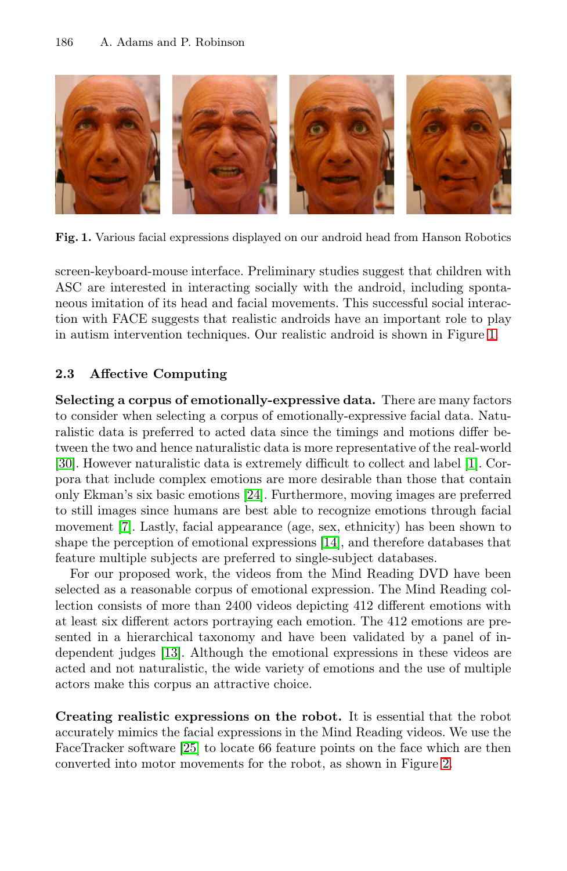#### 186 A. Adams and P. Robinson



Fig. 1. Various facial expressions displayed on our android head from Hanson Robotics

screen-keyboard-mouse interface. Preliminary studies suggest that children with ASC are interested in interacting socially with the android, including spontaneous imitation of its head and facial movements. This successful social interaction with FACE suggests that realistic androids have an important role to play in autism intervention techniques. Our realistic andr[oid](#page-6-7) is shown in Figure 1.

### 2.3 Affecti[ve](#page-7-7) Computing

Selecting a corpus of emotionally-expressive data. There are many factors to consider when selecting [a co](#page-7-8)rpus of emotionally-expressive facial data. Naturalistic data is preferred to acted data since the timings and motions differ between the two and hence naturalistic data is more representative of the real-world [30]. However naturalistic data is extremely difficult to collect and label [1]. Corpora that include complex emotions are more desirable than those that contain only Ekman's six basic emotions [24]. Furthermore, moving images are preferred to still images since humans are best able to recognize emotions through facial [mo](#page-6-8)vement [7]. Lastly, facial appearance (age, sex, ethnicity) has been shown to shape the perception of emotional expressions [14], and therefore databases that feature multiple subjects are preferred to single-subject databases.

For our proposed work, the videos from the Mind Reading DVD have been selected as a reasonable corpus of emotional expression. The Mind Reading collection consists of more than 2400 videos depicting 412 different emotions with at [leas](#page-7-9)t six different actors portraying each emotion. The 412 emotions are presented in a hierarchical taxonomy and have b[een](#page-4-0) validated by a panel of independent judges [13]. Although the emotional expressions in these videos are acted and not naturalistic, the wide variety of emotions and the use of multiple actors make this corpus an attractive choice.

Creating realistic expressions on the robot. It is essential that the robot accurately mimics the facial expressions in the Mind Reading videos. We use the FaceTracker software [25] to locate 66 feature points on the face which are then converted into motor movements for the robot, as shown in Figure 2.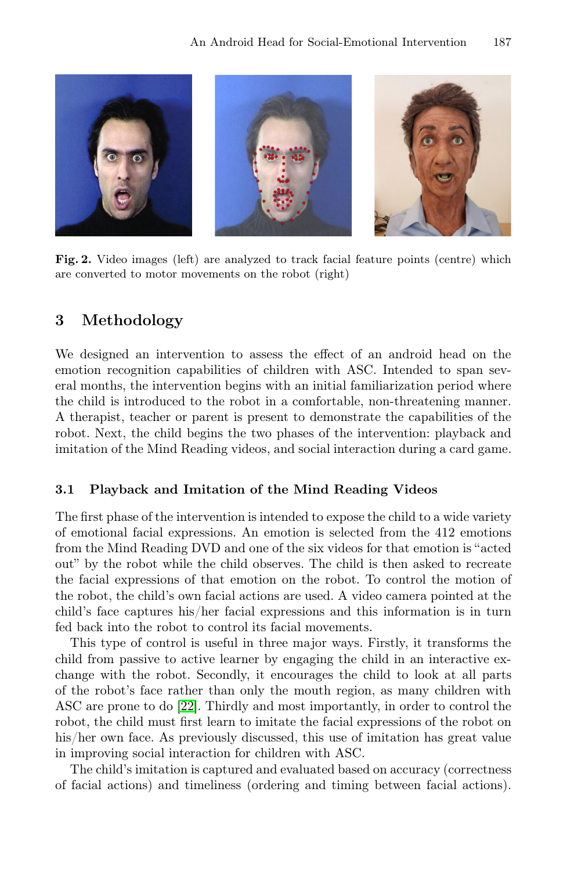<span id="page-4-0"></span>

Fig. 2. Video images (left) are analyzed to track facial feature points (centre) which are converted to motor movements on the robot (right)

# 3 Methodology

We designed an intervention to assess the effect of an android head on the emotion recognition capabilities of children with ASC. Intended to span several months, the intervention begins with an initial familiarization period where the child is introduced to the robot in a comfortable, non-threatening manner. A therapist, teacher or parent is present to demonstrate the capabilities of the robot. Next, the child begins the two phases of the intervention: playback and imitation of the Mind Reading videos, and social interaction during a card game.

### 3.1 Playback and Imitation of the Mind Reading Videos

The first phase of the intervention is intended to expose the child to a wide variety of emotional facial expressions. An emotion is selected from the 412 emotions from the Mind Reading DVD and one of the six videos for that emotion is "acted out" by the robot while the child observes. The child is then asked to recreate th[e fa](#page-7-10)cial expressions of that emotion on the robot. To control the motion of the robot, the child's own facial actions are used. A video camera pointed at the child's face captures his/her facial expressions and this information is in turn fed back into the robot to control its facial movements.

This type of control is useful in three major ways. Firstly, it transforms the child from passive to active learner by engaging the child in an interactive exchange with the robot. Secondly, it encourages the child to look at all parts of the robot's face rather than only the mouth region, as many children with ASC are prone to do [22]. Thirdly and most importantly, in order to control the robot, the child must first learn to imitate the facial expressions of the robot on his/her own face. As previously discussed, this use of imitation has great value in improving social interaction for children with ASC.

The child's imitation is captured and evaluated based on accuracy (correctness of facial actions) and timeliness (ordering and timing between facial actions).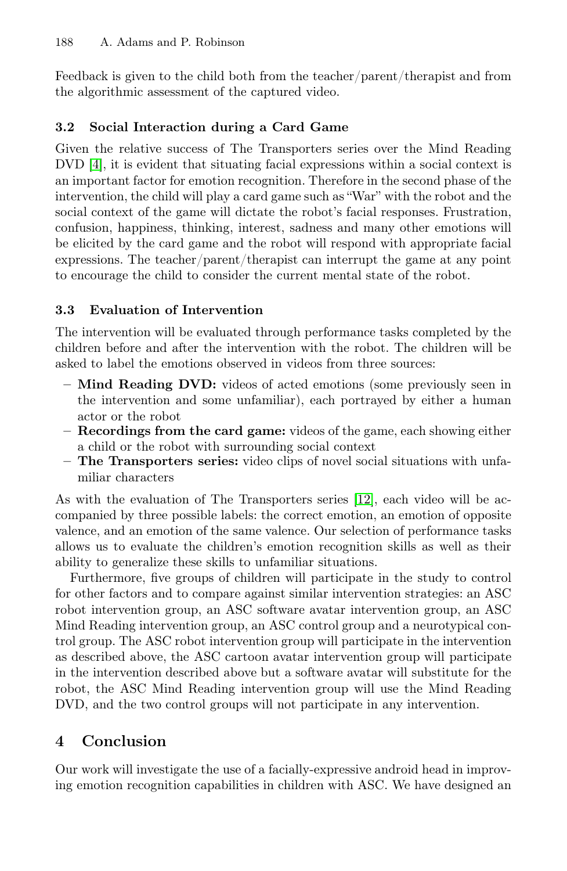#### 188 A. Adams and P. Robinson

Feedback is given to the child both from the teacher/parent/therapist and from the algorithmic assessment of the captured video.

### 3.2 Social Interaction during a Card Game

Given the relative success of The Transporters series over the Mind Reading DVD [4], it is evident that situating facial expressions within a social context is an important factor for emotion recognition. Therefore in the second phase of the intervention, the child will play a card game such as "War" with the robot and the social context of the game will dictate the robot's facial responses. Frustration, confusion, happiness, thinking, interest, sadness and many other emotions will be elicited by the card game and the robot will respond with appropriate facial expressions. The teacher/parent/therapist can interrupt the game at any point to encourage the child to consider the current mental state of the robot.

### 3.3 Evaluation of Intervention

The intervention will be evaluated through performance tasks completed by the children before and after the intervention with the robot. The children will be asked to label the emotions observed in videos from three sources:

- Mind Reading DVD: vide[os](#page-6-4) [o](#page-6-4)f acted emotions (some previously seen in the intervention and some unfamiliar), each portrayed by either a human actor or the robot
- Recordings from the card game: videos of the game, each showing either a child or the robot with surrounding social context
- The Transporters series: video clips of novel social situations with unfamiliar characters

As with the evaluation of The Transporters series [12], each video will be accompanied by three possible labels: the correct emotion, an emotion of opposite valence, and an emotion of the same valence. Our selection of performance tasks allows us to evaluate the children's emotion recognition skills as well as their ability to generalize these skills to unfamiliar situations.

Furthermore, five groups of children will participate in the study to control for other factors and to compare against similar intervention strategies: an ASC robot intervention group, an ASC software avatar intervention group, an ASC Mind Reading intervention group, an ASC control group and a neurotypical control group. The ASC robot intervention group will participate in the intervention as described above, the ASC cartoon avatar intervention group will participate in the intervention described above but a software avatar will substitute for the robot, the ASC Mind Reading intervention group will use the Mind Reading DVD, and the two control groups will not participate in any intervention.

# 4 Conclusion

Our work will investigate the use of a facially-expressive android head in improving emotion recognition capabilities in children with ASC. We have designed an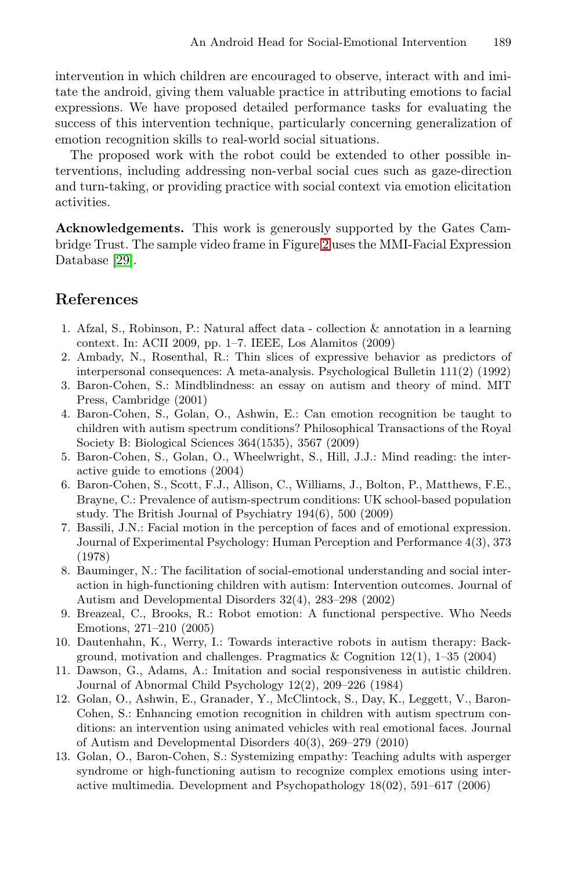intervention in which children are encouraged to observe, interact with and imitate the android, giving them valuable practice in attributing emotions to facial expressions. We have proposed detailed performance tasks for evaluating the success of this intervention [te](#page-4-0)chnique, particularly concerning generalization of emotion recognition skills to real-world social situations.

The proposed work with the robot could be extended to other possible interventions, including addressing non-verbal social cues such as gaze-direction and turn-taking, or providing practice with social context via emotion elicitation activities.

<span id="page-6-7"></span><span id="page-6-1"></span>Acknowledgements. This work is generously supported by the Gates Cambridge Trust. The sample video frame in Figure 2 uses the MMI-Facial Expression Database [29].

## <span id="page-6-3"></span>References

- 1. Afzal, S., Robinson, P.: Natural affect data collection & annotation in a learning context. In: ACII 2009, pp. 1–7. IEEE, Los Alamitos (2009)
- 2. Ambady, N., Rosenthal, R.: Thin slices of expressive behavior as predictors of interpersonal consequences: A meta-analysis. Psychological Bulletin 111(2) (1992)
- 3. Baron-Cohen, S.: Mindblindness: an essay on autism and theory of mind. MIT Press, Cambridge (2001)
- 4. Baron-Cohen, S., Golan, O., Ashwin, E.: Can emotion recognition be taught to children with autism spectrum conditions? Philosophical Transactions of the Royal Society B: Biological Sciences 364(1535), 3567 (2009)
- <span id="page-6-2"></span>5. Baron-Cohen, S., Golan, O., Wheelwright, S., Hill, J.J.: Mind reading: the interactive guide to emotions (2004)
- <span id="page-6-5"></span>6. Baron-Cohen, S., Scott, F.J., Allison, C., Williams, J., Bolton, P., Matthews, F.E., Brayne, C.: Prevalence of autism-spectrum conditions: UK school-based population study. The British Journal of Psychiatry 194(6), 500 (2009)
- <span id="page-6-6"></span><span id="page-6-0"></span>7. Bassili, J.N.: Facial motion in the perception of faces and of emotional expression. Journal of Experimental Psychology: Human Perception and Performance 4(3), 373 (1978)
- <span id="page-6-4"></span>8. Bauminger, N.: The facilitation of social-emotional understanding and social interaction in high-functioning children with autism: Intervention outcomes. Journal of Autism and Developmental Disorders 32(4), 283–298 (2002)
- 9. Breazeal, C., Brooks, R.: Robot emotion: A functional perspective. Who Needs Emotions, 271–210 (2005)
- <span id="page-6-8"></span>10. Dautenhahn, K., Werry, I.: Towards interactive robots in autism therapy: Background, motivation and challenges. Pragmatics & Cognition  $12(1)$ ,  $1-35$  (2004)
- 11. Dawson, G., Adams, A.: Imitation and social responsiveness in autistic children. Journal of Abnormal Child Psychology 12(2), 209–226 (1984)
- 12. Golan, O., Ashwin, E., Granader, Y., McClintock, S., Day, K., Leggett, V., Baron-Cohen, S.: Enhancing emotion recognition in children with autism spectrum conditions: an intervention using animated vehicles with real emotional faces. Journal of Autism and Developmental Disorders 40(3), 269–279 (2010)
- 13. Golan, O., Baron-Cohen, S.: Systemizing empathy: Teaching adults with asperger syndrome or high-functioning autism to recognize complex emotions using interactive multimedia. Development and Psychopathology 18(02), 591–617 (2006)